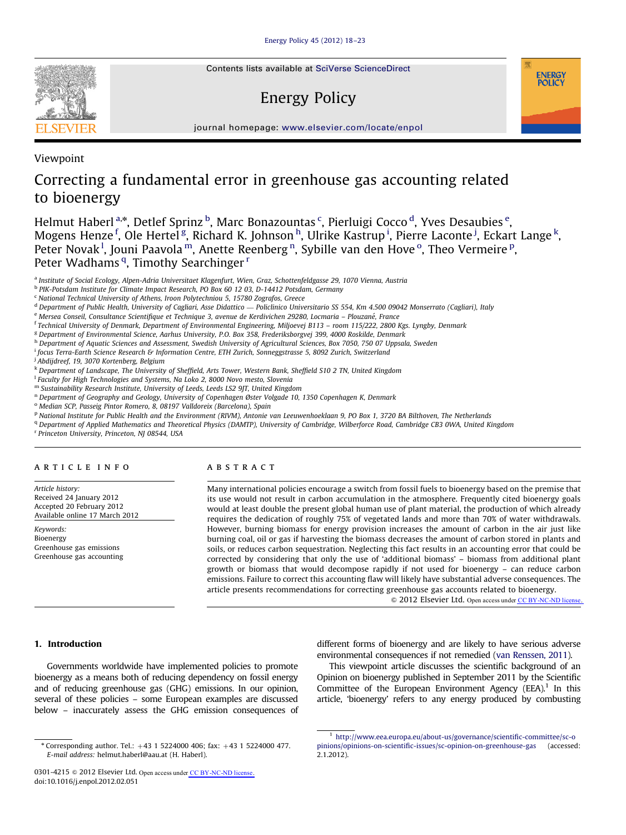Contents lists available at [SciVerse ScienceDirect](www.elsevier.com/locate/enpol)

# Energy Policy



journal homepage: <www.elsevier.com/locate/enpol>

Viewpoint

## Correcting a fundamental error in greenhouse gas accounting related to bioenergy

Helmut Haberl <sup>a,</sup>\*, Detlef Sprinz <sup>b</sup>, Marc Bonazountas <sup>c</sup>, Pierluigi Cocco <sup>d</sup>, Yves Desaubies <sup>e</sup>, Mogens Henze <sup>f</sup>, Ole Hertel <sup>g</sup>, Richard K. Johnson <sup>h</sup>, Ulrike Kastrup <sup>i</sup>, Pierre Laconte <sup>j</sup>, Eckart Lange <sup>k</sup>, Peter Novak<sup>1</sup>, Jouni Paavola<sup>m</sup>, Anette Reenberg<sup>n</sup>, Sybille van den Hove<sup>o</sup>, Theo Vermeire<sup>p</sup>, Peter Wadhams<sup>q</sup>, Timothy Searchinger<sup>r</sup>

<sup>a</sup> Institute of Social Ecology, Alpen-Adria Universitaet Klagenfurt, Wien, Graz, Schottenfeldgasse 29, 1070 Vienna, Austria

<sup>b</sup> PIK-Potsdam Institute for Climate Impact Research, PO Box 60 12 03, D-14412 Potsdam, Germany

<sup>c</sup> National Technical University of Athens, Iroon Polytechniou 5, 15780 Zografos, Greece

<sup>d</sup> Department of Public Health, University of Cagliari, Asse Didattico — Policlinico Universitario SS 554, Km 4.500 09042 Monserrato (Cagliari), Italy

e Mersea Conseil, Consultance Scientifique et Technique 3, avenue de Kerdivichen 29280, Locmaria – Plouzané, France

<sup>f</sup> Technical University of Denmark, Department of Environmental Engineering, Miljoevej B113 – room 115/222, 2800 Kgs. Lyngby, Denmark

<sup>g</sup> Department of Environmental Science, Aarhus University, P.O. Box 358, Frederiksborgvej 399, 4000 Roskilde, Denmark

h Department of Aquatic Sciences and Assessment, Swedish University of Agricultural Sciences, Box 7050, 750 07 Uppsala, Sweden

i focus Terra-Earth Science Research & Information Centre, ETH Zurich, Sonneggstrasse 5, 8092 Zurich, Switzerland

<sup>i</sup> Abdijdreef, 19, 3070 Kortenberg, Belgium

<sup>k</sup> Department of Landscape, The University of Sheffield, Arts Tower, Western Bank, Sheffield S10 2 TN, United Kingdom

<sup>1</sup> Faculty for High Technologies and Systems, Na Loko 2, 8000 Novo mesto, Slovenia

<sup>m</sup> Sustainability Research Institute, University of Leeds, Leeds LS2 9JT, United Kingdom

<sup>n</sup> Department of Geography and Geology, University of Copenhagen Øster Volgade 10, 1350 Copenhagen K, Denmark

<sup>o</sup> Median SCP, Passeig Pintor Romero, 8, 08197 Valldoreix (Barcelona), Spain

<sup>p</sup> National Institute for Public Health and the Environment (RIVM), Antonie van Leeuwenhoeklaan 9, PO Box 1, 3720 BA Bilthoven, The Netherlands

<sup>q</sup> Department of Applied Mathematics and Theoretical Physics (DAMTP), University of Cambridge, Wilberforce Road, Cambridge CB3 0WA, United Kingdom

<sup>r</sup> Princeton University, Princeton, NJ 08544, USA

## article info

Article history: Received 24 January 2012 Accepted 20 February 2012 Available online 17 March 2012

Keywords: Bioenergy Greenhouse gas emissions Greenhouse gas accounting

## ABSTRACT

Many international policies encourage a switch from fossil fuels to bioenergy based on the premise that its use would not result in carbon accumulation in the atmosphere. Frequently cited bioenergy goals would at least double the present global human use of plant material, the production of which already requires the dedication of roughly 75% of vegetated lands and more than 70% of water withdrawals. However, burning biomass for energy provision increases the amount of carbon in the air just like burning coal, oil or gas if harvesting the biomass decreases the amount of carbon stored in plants and soils, or reduces carbon sequestration. Neglecting this fact results in an accounting error that could be corrected by considering that only the use of 'additional biomass' – biomass from additional plant growth or biomass that would decompose rapidly if not used for bioenergy – can reduce carbon emissions. Failure to correct this accounting flaw will likely have substantial adverse consequences. The article presents recommendations for correcting greenhouse gas accounts related to bioenergy.

 $\odot$  2012 Elsevier Ltd. Open access under [CC BY-NC-ND license.](http://creativecommons.org/licenses/by-nc-nd/3.0/)

## 1. Introduction

Governments worldwide have implemented policies to promote bioenergy as a means both of reducing dependency on fossil energy and of reducing greenhouse gas (GHG) emissions. In our opinion, several of these policies – some European examples are discussed below – inaccurately assess the GHG emission consequences of

0301-4215 © 2012 Elsevier Ltd. Open access unde[r CC BY-NC-ND license.](http://creativecommons.org/licenses/by-nc-nd/3.0/) doi:[10.1016/j.enpol.2012.02.051](dx.doi.org/10.1016/j.enpol.2012.02.051)

different forms of bioenergy and are likely to have serious adverse environmental consequences if not remedied [\(van Renssen, 2011](#page-4-0)).

This viewpoint article discusses the scientific background of an Opinion on bioenergy published in September 2011 by the Scientific Committee of the European Environment Agency (EEA). $1$  In this article, 'bioenergy' refers to any energy produced by combusting



 $"$  Corresponding author. Tel.:  $+43$  1 5224000 406; fax:  $+43$  1 5224000 477. E-mail address: [helmut.haberl@aau.at \(H. Haberl\).](mailto:helmut.haberl@aau.at)

<sup>1</sup> [http://www.eea.europa.eu/about-us/governance/scientific-committee/sc-o](http://www.eea.europa.eu/about-us/governance/scientific-committee/sc-opinions/opinions-on-scientific-issues/sc-opinion-on-greenhouse-gas) [pinions/opinions-on-scientific-issues/sc-opinion-on-greenhouse-gas](http://www.eea.europa.eu/about-us/governance/scientific-committee/sc-opinions/opinions-on-scientific-issues/sc-opinion-on-greenhouse-gas) (accessed: 2.1.2012).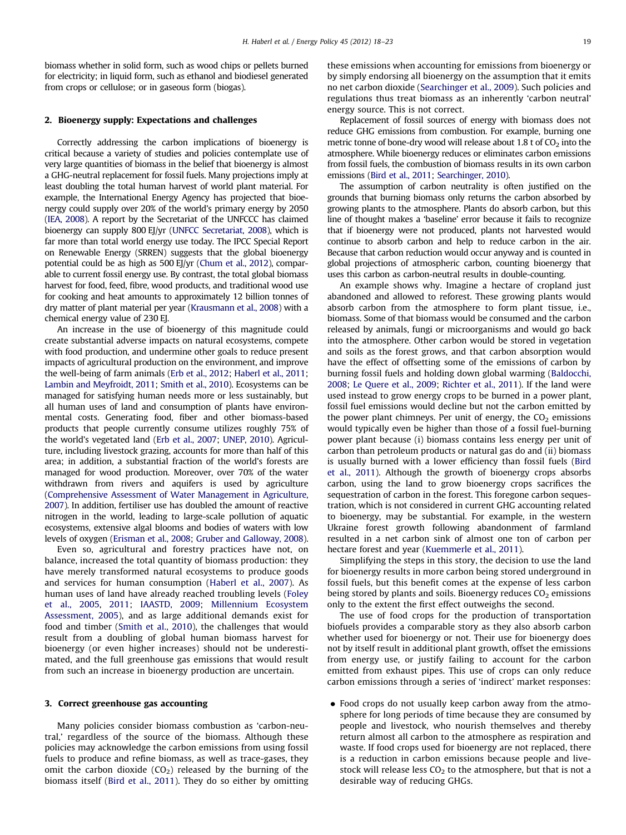biomass whether in solid form, such as wood chips or pellets burned for electricity; in liquid form, such as ethanol and biodiesel generated from crops or cellulose; or in gaseous form (biogas).

#### 2. Bioenergy supply: Expectations and challenges

Correctly addressing the carbon implications of bioenergy is critical because a variety of studies and policies contemplate use of very large quantities of biomass in the belief that bioenergy is almost a GHG-neutral replacement for fossil fuels. Many projections imply at least doubling the total human harvest of world plant material. For example, the International Energy Agency has projected that bioenergy could supply over 20% of the world's primary energy by 2050 [\(IEA, 2008](#page-4-0)). A report by the Secretariat of the UNFCCC has claimed bioenergy can supply 800 EJ/yr [\(UNFCC Secretariat, 2008](#page-5-0)), which is far more than total world energy use today. The IPCC Special Report on Renewable Energy (SRREN) suggests that the global bioenergy potential could be as high as 500 EJ/yr [\(Chum et al., 2012](#page-4-0)), comparable to current fossil energy use. By contrast, the total global biomass harvest for food, feed, fibre, wood products, and traditional wood use for cooking and heat amounts to approximately 12 billion tonnes of dry matter of plant material per year ([Krausmann et al., 2008](#page-4-0)) with a chemical energy value of 230 EJ.

An increase in the use of bioenergy of this magnitude could create substantial adverse impacts on natural ecosystems, compete with food production, and undermine other goals to reduce present impacts of agricultural production on the environment, and improve the well-being of farm animals [\(Erb et al., 2012;](#page-4-0) [Haberl et al., 2011;](#page-4-0) [Lambin and Meyfroidt, 2011;](#page-4-0) [Smith et al., 2010](#page-5-0)). Ecosystems can be managed for satisfying human needs more or less sustainably, but all human uses of land and consumption of plants have environmental costs. Generating food, fiber and other biomass-based products that people currently consume utilizes roughly 75% of the world's vegetated land [\(Erb et al., 2007](#page-4-0); [UNEP, 2010](#page-5-0)). Agriculture, including livestock grazing, accounts for more than half of this area; in addition, a substantial fraction of the world's forests are managed for wood production. Moreover, over 70% of the water withdrawn from rivers and aquifers is used by agriculture [\(Comprehensive Assessment of Water Management in Agriculture,](#page-4-0) [2007\)](#page-4-0). In addition, fertiliser use has doubled the amount of reactive nitrogen in the world, leading to large-scale pollution of aquatic ecosystems, extensive algal blooms and bodies of waters with low levels of oxygen ([Erisman et al., 2008](#page-4-0); [Gruber and Galloway, 2008\)](#page-4-0).

Even so, agricultural and forestry practices have not, on balance, increased the total quantity of biomass production: they have merely transformed natural ecosystems to produce goods and services for human consumption ([Haberl et al., 2007](#page-4-0)). As human uses of land have already reached troubling levels [\(Foley](#page-4-0) [et al., 2005,](#page-4-0) [2011](#page-4-0); [IAASTD, 2009;](#page-4-0) [Millennium Ecosystem](#page-4-0) [Assessment, 2005\)](#page-4-0), and as large additional demands exist for food and timber ([Smith et al., 2010\)](#page-5-0), the challenges that would result from a doubling of global human biomass harvest for bioenergy (or even higher increases) should not be underestimated, and the full greenhouse gas emissions that would result from such an increase in bioenergy production are uncertain.

## 3. Correct greenhouse gas accounting

Many policies consider biomass combustion as 'carbon-neutral,' regardless of the source of the biomass. Although these policies may acknowledge the carbon emissions from using fossil fuels to produce and refine biomass, as well as trace-gases, they omit the carbon dioxide  $(CO<sub>2</sub>)$  released by the burning of the biomass itself ([Bird et al., 2011](#page-4-0)). They do so either by omitting these emissions when accounting for emissions from bioenergy or by simply endorsing all bioenergy on the assumption that it emits no net carbon dioxide [\(Searchinger et al., 2009](#page-5-0)). Such policies and regulations thus treat biomass as an inherently 'carbon neutral' energy source. This is not correct.

Replacement of fossil sources of energy with biomass does not reduce GHG emissions from combustion. For example, burning one metric tonne of bone-dry wood will release about 1.8 t of  $CO<sub>2</sub>$  into the atmosphere. While bioenergy reduces or eliminates carbon emissions from fossil fuels, the combustion of biomass results in its own carbon emissions ([Bird et al., 2011;](#page-4-0) [Searchinger, 2010\)](#page-5-0).

The assumption of carbon neutrality is often justified on the grounds that burning biomass only returns the carbon absorbed by growing plants to the atmosphere. Plants do absorb carbon, but this line of thought makes a 'baseline' error because it fails to recognize that if bioenergy were not produced, plants not harvested would continue to absorb carbon and help to reduce carbon in the air. Because that carbon reduction would occur anyway and is counted in global projections of atmospheric carbon, counting bioenergy that uses this carbon as carbon-neutral results in double-counting.

An example shows why. Imagine a hectare of cropland just abandoned and allowed to reforest. These growing plants would absorb carbon from the atmosphere to form plant tissue, i.e., biomass. Some of that biomass would be consumed and the carbon released by animals, fungi or microorganisms and would go back into the atmosphere. Other carbon would be stored in vegetation and soils as the forest grows, and that carbon absorption would have the effect of offsetting some of the emissions of carbon by burning fossil fuels and holding down global warming ([Baldocchi,](#page-4-0) [2008](#page-4-0); [Le Quere et al., 2009](#page-4-0); [Richter et al., 2011](#page-5-0)). If the land were used instead to grow energy crops to be burned in a power plant, fossil fuel emissions would decline but not the carbon emitted by the power plant chimneys. Per unit of energy, the  $CO<sub>2</sub>$  emissions would typically even be higher than those of a fossil fuel-burning power plant because (i) biomass contains less energy per unit of carbon than petroleum products or natural gas do and (ii) biomass is usually burned with a lower efficiency than fossil fuels [\(Bird](#page-4-0) [et al., 2011](#page-4-0)). Although the growth of bioenergy crops absorbs carbon, using the land to grow bioenergy crops sacrifices the sequestration of carbon in the forest. This foregone carbon sequestration, which is not considered in current GHG accounting related to bioenergy, may be substantial. For example, in the western Ukraine forest growth following abandonment of farmland resulted in a net carbon sink of almost one ton of carbon per hectare forest and year [\(Kuemmerle et al., 2011\)](#page-4-0).

Simplifying the steps in this story, the decision to use the land for bioenergy results in more carbon being stored underground in fossil fuels, but this benefit comes at the expense of less carbon being stored by plants and soils. Bioenergy reduces  $CO<sub>2</sub>$  emissions only to the extent the first effect outweighs the second.

The use of food crops for the production of transportation biofuels provides a comparable story as they also absorb carbon whether used for bioenergy or not. Their use for bioenergy does not by itself result in additional plant growth, offset the emissions from energy use, or justify failing to account for the carbon emitted from exhaust pipes. This use of crops can only reduce carbon emissions through a series of 'indirect' market responses:

• Food crops do not usually keep carbon away from the atmosphere for long periods of time because they are consumed by people and livestock, who nourish themselves and thereby return almost all carbon to the atmosphere as respiration and waste. If food crops used for bioenergy are not replaced, there is a reduction in carbon emissions because people and livestock will release less  $CO<sub>2</sub>$  to the atmosphere, but that is not a desirable way of reducing GHGs.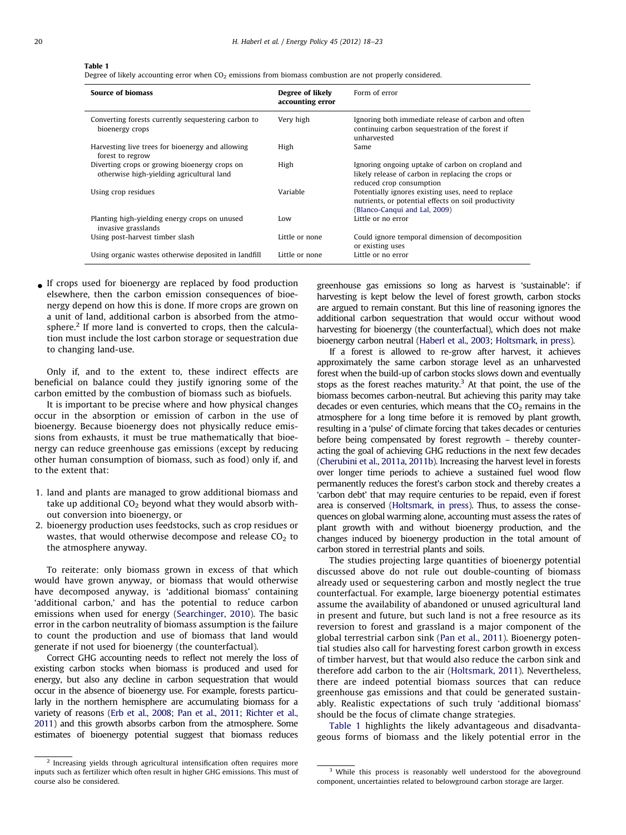#### Table 1

Degree of likely accounting error when  $CO<sub>2</sub>$  emissions from biomass combustion are not properly considered.

| <b>Source of biomass</b>                                                                   | Degree of likely<br>accounting error | Form of error                                                                                                                               |
|--------------------------------------------------------------------------------------------|--------------------------------------|---------------------------------------------------------------------------------------------------------------------------------------------|
| Converting forests currently sequestering carbon to<br>bioenergy crops                     | Very high                            | Ignoring both immediate release of carbon and often<br>continuing carbon sequestration of the forest if<br>unharvested                      |
| Harvesting live trees for bioenergy and allowing<br>forest to regrow                       | High                                 | Same                                                                                                                                        |
| Diverting crops or growing bioenergy crops on<br>otherwise high-yielding agricultural land | High                                 | Ignoring ongoing uptake of carbon on cropland and<br>likely release of carbon in replacing the crops or<br>reduced crop consumption         |
| Using crop residues                                                                        | Variable                             | Potentially ignores existing uses, need to replace<br>nutrients, or potential effects on soil productivity<br>(Blanco-Canqui and Lal, 2009) |
| Planting high-yielding energy crops on unused<br>invasive grasslands                       | Low                                  | Little or no error                                                                                                                          |
| Using post-harvest timber slash                                                            | Little or none                       | Could ignore temporal dimension of decomposition<br>or existing uses                                                                        |
| Using organic wastes otherwise deposited in landfill                                       | Little or none                       | Little or no error                                                                                                                          |

- If crops used for bioenergy are replaced by food production elsewhere, then the carbon emission consequences of bioenergy depend on how this is done. If more crops are grown on a unit of land, additional carbon is absorbed from the atmosphere.<sup>2</sup> If more land is converted to crops, then the calculation must include the lost carbon storage or sequestration due to changing land-use.

Only if, and to the extent to, these indirect effects are beneficial on balance could they justify ignoring some of the carbon emitted by the combustion of biomass such as biofuels.

It is important to be precise where and how physical changes occur in the absorption or emission of carbon in the use of bioenergy. Because bioenergy does not physically reduce emissions from exhausts, it must be true mathematically that bioenergy can reduce greenhouse gas emissions (except by reducing other human consumption of biomass, such as food) only if, and to the extent that:

- 1. land and plants are managed to grow additional biomass and take up additional  $CO<sub>2</sub>$  beyond what they would absorb without conversion into bioenergy, or
- 2. bioenergy production uses feedstocks, such as crop residues or wastes, that would otherwise decompose and release  $CO<sub>2</sub>$  to the atmosphere anyway.

To reiterate: only biomass grown in excess of that which would have grown anyway, or biomass that would otherwise have decomposed anyway, is 'additional biomass' containing 'additional carbon,' and has the potential to reduce carbon emissions when used for energy [\(Searchinger, 2010](#page-5-0)). The basic error in the carbon neutrality of biomass assumption is the failure to count the production and use of biomass that land would generate if not used for bioenergy (the counterfactual).

Correct GHG accounting needs to reflect not merely the loss of existing carbon stocks when biomass is produced and used for energy, but also any decline in carbon sequestration that would occur in the absence of bioenergy use. For example, forests particularly in the northern hemisphere are accumulating biomass for a variety of reasons [\(Erb et al., 2008;](#page-4-0) [Pan et al., 2011;](#page-4-0) [Richter et al.,](#page-5-0) [2011\)](#page-5-0) and this growth absorbs carbon from the atmosphere. Some estimates of bioenergy potential suggest that biomass reduces greenhouse gas emissions so long as harvest is 'sustainable': if harvesting is kept below the level of forest growth, carbon stocks are argued to remain constant. But this line of reasoning ignores the additional carbon sequestration that would occur without wood harvesting for bioenergy (the counterfactual), which does not make bioenergy carbon neutral [\(Haberl et al., 2003](#page-4-0); [Holtsmark, in press\)](#page-4-0).

If a forest is allowed to re-grow after harvest, it achieves approximately the same carbon storage level as an unharvested forest when the build-up of carbon stocks slows down and eventually stops as the forest reaches maturity. $3$  At that point, the use of the biomass becomes carbon-neutral. But achieving this parity may take decades or even centuries, which means that the  $CO<sub>2</sub>$  remains in the atmosphere for a long time before it is removed by plant growth, resulting in a 'pulse' of climate forcing that takes decades or centuries before being compensated by forest regrowth – thereby counteracting the goal of achieving GHG reductions in the next few decades ([Cherubini et al., 2011a](#page-4-0), [2011b](#page-4-0)). Increasing the harvest level in forests over longer time periods to achieve a sustained fuel wood flow permanently reduces the forest's carbon stock and thereby creates a 'carbon debt' that may require centuries to be repaid, even if forest area is conserved [\(Holtsmark, in press\)](#page-4-0). Thus, to assess the consequences on global warming alone, accounting must assess the rates of plant growth with and without bioenergy production, and the changes induced by bioenergy production in the total amount of carbon stored in terrestrial plants and soils.

The studies projecting large quantities of bioenergy potential discussed above do not rule out double-counting of biomass already used or sequestering carbon and mostly neglect the true counterfactual. For example, large bioenergy potential estimates assume the availability of abandoned or unused agricultural land in present and future, but such land is not a free resource as its reversion to forest and grassland is a major component of the global terrestrial carbon sink [\(Pan et al., 2011\)](#page-4-0). Bioenergy potential studies also call for harvesting forest carbon growth in excess of timber harvest, but that would also reduce the carbon sink and therefore add carbon to the air [\(Holtsmark, 2011\)](#page-4-0). Nevertheless, there are indeed potential biomass sources that can reduce greenhouse gas emissions and that could be generated sustainably. Realistic expectations of such truly 'additional biomass' should be the focus of climate change strategies.

Table 1 highlights the likely advantageous and disadvantageous forms of biomass and the likely potential error in the

<sup>2</sup> Increasing yields through agricultural intensification often requires more inputs such as fertilizer which often result in higher GHG emissions. This must of course also be considered.

<sup>&</sup>lt;sup>3</sup> While this process is reasonably well understood for the aboveground component, uncertainties related to belowground carbon storage are larger.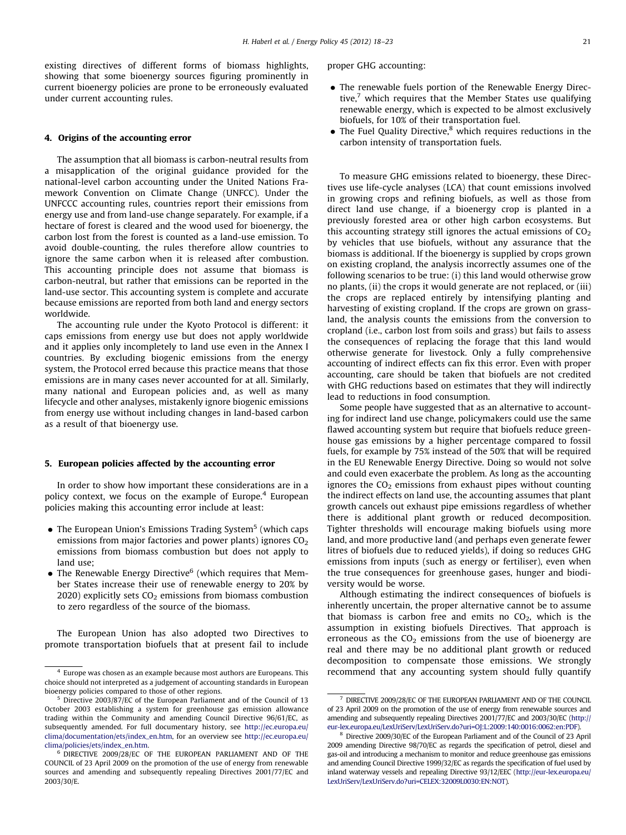existing directives of different forms of biomass highlights, showing that some bioenergy sources figuring prominently in current bioenergy policies are prone to be erroneously evaluated under current accounting rules.

### 4. Origins of the accounting error

The assumption that all biomass is carbon-neutral results from a misapplication of the original guidance provided for the national-level carbon accounting under the United Nations Framework Convention on Climate Change (UNFCC). Under the UNFCCC accounting rules, countries report their emissions from energy use and from land-use change separately. For example, if a hectare of forest is cleared and the wood used for bioenergy, the carbon lost from the forest is counted as a land-use emission. To avoid double-counting, the rules therefore allow countries to ignore the same carbon when it is released after combustion. This accounting principle does not assume that biomass is carbon-neutral, but rather that emissions can be reported in the land-use sector. This accounting system is complete and accurate because emissions are reported from both land and energy sectors worldwide.

The accounting rule under the Kyoto Protocol is different: it caps emissions from energy use but does not apply worldwide and it applies only incompletely to land use even in the Annex I countries. By excluding biogenic emissions from the energy system, the Protocol erred because this practice means that those emissions are in many cases never accounted for at all. Similarly, many national and European policies and, as well as many lifecycle and other analyses, mistakenly ignore biogenic emissions from energy use without including changes in land-based carbon as a result of that bioenergy use.

#### 5. European policies affected by the accounting error

In order to show how important these considerations are in a policy context, we focus on the example of Europe.<sup>4</sup> European policies making this accounting error include at least:

- The European Union's Emissions Trading System<sup>5</sup> (which caps emissions from major factories and power plants) ignores  $CO<sub>2</sub>$ emissions from biomass combustion but does not apply to land use;
- The Renewable Energy Directive<sup>6</sup> (which requires that Member States increase their use of renewable energy to 20% by 2020) explicitly sets  $CO<sub>2</sub>$  emissions from biomass combustion to zero regardless of the source of the biomass.

The European Union has also adopted two Directives to promote transportation biofuels that at present fail to include proper GHG accounting:

- The renewable fuels portion of the Renewable Energy Directive, $7$  which requires that the Member States use qualifying renewable energy, which is expected to be almost exclusively biofuels, for 10% of their transportation fuel.
- The Fuel Quality Directive,<sup>8</sup> which requires reductions in the carbon intensity of transportation fuels.

To measure GHG emissions related to bioenergy, these Directives use life-cycle analyses (LCA) that count emissions involved in growing crops and refining biofuels, as well as those from direct land use change, if a bioenergy crop is planted in a previously forested area or other high carbon ecosystems. But this accounting strategy still ignores the actual emissions of  $CO<sub>2</sub>$ by vehicles that use biofuels, without any assurance that the biomass is additional. If the bioenergy is supplied by crops grown on existing cropland, the analysis incorrectly assumes one of the following scenarios to be true: (i) this land would otherwise grow no plants, (ii) the crops it would generate are not replaced, or (iii) the crops are replaced entirely by intensifying planting and harvesting of existing cropland. If the crops are grown on grassland, the analysis counts the emissions from the conversion to cropland (i.e., carbon lost from soils and grass) but fails to assess the consequences of replacing the forage that this land would otherwise generate for livestock. Only a fully comprehensive accounting of indirect effects can fix this error. Even with proper accounting, care should be taken that biofuels are not credited with GHG reductions based on estimates that they will indirectly lead to reductions in food consumption.

Some people have suggested that as an alternative to accounting for indirect land use change, policymakers could use the same flawed accounting system but require that biofuels reduce greenhouse gas emissions by a higher percentage compared to fossil fuels, for example by 75% instead of the 50% that will be required in the EU Renewable Energy Directive. Doing so would not solve and could even exacerbate the problem. As long as the accounting ignores the  $CO<sub>2</sub>$  emissions from exhaust pipes without counting the indirect effects on land use, the accounting assumes that plant growth cancels out exhaust pipe emissions regardless of whether there is additional plant growth or reduced decomposition. Tighter thresholds will encourage making biofuels using more land, and more productive land (and perhaps even generate fewer litres of biofuels due to reduced yields), if doing so reduces GHG emissions from inputs (such as energy or fertiliser), even when the true consequences for greenhouse gases, hunger and biodiversity would be worse.

Although estimating the indirect consequences of biofuels is inherently uncertain, the proper alternative cannot be to assume that biomass is carbon free and emits no  $CO<sub>2</sub>$ , which is the assumption in existing biofuels Directives. That approach is erroneous as the  $CO<sub>2</sub>$  emissions from the use of bioenergy are real and there may be no additional plant growth or reduced decomposition to compensate those emissions. We strongly  $^4$  Europe was chosen as an example because most authors are Europeans. This recommend that any accounting system should fully quantify

choice should not interpreted as a judgement of accounting standards in European bioenergy policies compared to those of other regions.

<sup>5</sup> Directive 2003/87/EC of the European Parliament and of the Council of 13 October 2003 establishing a system for greenhouse gas emission allowance trading within the Community and amending Council Directive 96/61/EC, as subsequently amended. For full documentary history, see [http://ec.europa.eu/](http://ec.europa.eu/clima/documentation/ets/index_en.htm) [clima/documentation/ets/index\\_en.htm,](http://ec.europa.eu/clima/documentation/ets/index_en.htm) for an overview see [http://ec.europa.eu/](http://ec.europa.eu/clima/policies/ets/index_en.htm) [clima/policies/ets/index\\_en.htm.](http://ec.europa.eu/clima/policies/ets/index_en.htm)

<sup>6</sup> DIRECTIVE 2009/28/EC OF THE EUROPEAN PARLIAMENT AND OF THE COUNCIL of 23 April 2009 on the promotion of the use of energy from renewable sources and amending and subsequently repealing Directives 2001/77/EC and 2003/30/E.

<sup>7</sup> DIRECTIVE 2009/28/EC OF THE EUROPEAN PARLIAMENT AND OF THE COUNCIL of 23 April 2009 on the promotion of the use of energy from renewable sources and amending and subsequently repealing Directives 2001/77/EC and 2003/30/EC [\(http://](http://eur-lex.europa.eu/LexUriServ/LexUriServ.do?uri=OJ:L:2009:140:0016:0062:en:PDF) [eur-lex.europa.eu/LexUriServ/LexUriServ.do?uri=OJ:L:2009:140:0016:0062:en:PDF](http://eur-lex.europa.eu/LexUriServ/LexUriServ.do?uri=OJ:L:2009:140:0016:0062:en:PDF)).

<sup>&</sup>lt;sup>8</sup> Directive 2009/30/EC of the European Parliament and of the Council of 23 April 2009 amending Directive 98/70/EC as regards the specification of petrol, diesel and gas-oil and introducing a mechanism to monitor and reduce greenhouse gas emissions and amending Council Directive 1999/32/EC as regards the specification of fuel used by inland waterway vessels and repealing Directive 93/12/EEC [\(http://eur-lex.europa.eu/](http://eur-lex.europa.eu/LexUriServ/LexUriServ.do?uri=CELEX:32009L0030:EN:NOT) [LexUriServ/LexUriServ.do?uri=CELEX:32009L0030:EN:NOT\)](http://eur-lex.europa.eu/LexUriServ/LexUriServ.do?uri=CELEX:32009L0030:EN:NOT).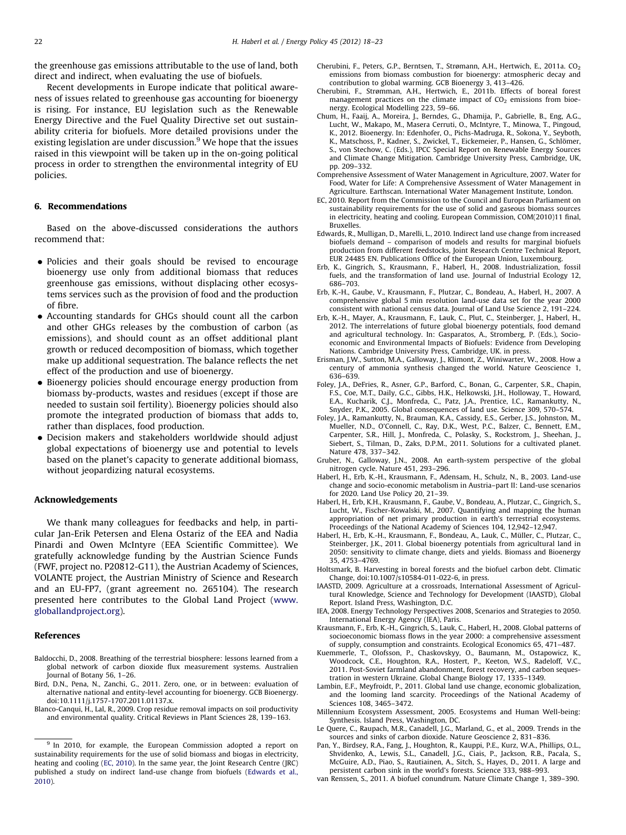<span id="page-4-0"></span>the greenhouse gas emissions attributable to the use of land, both direct and indirect, when evaluating the use of biofuels.

Recent developments in Europe indicate that political awareness of issues related to greenhouse gas accounting for bioenergy is rising. For instance, EU legislation such as the Renewable Energy Directive and the Fuel Quality Directive set out sustainability criteria for biofuels. More detailed provisions under the existing legislation are under discussion.<sup>9</sup> We hope that the issues raised in this viewpoint will be taken up in the on-going political process in order to strengthen the environmental integrity of EU policies.

## 6. Recommendations

Based on the above-discussed considerations the authors recommend that:

- Policies and their goals should be revised to encourage bioenergy use only from additional biomass that reduces greenhouse gas emissions, without displacing other ecosystems services such as the provision of food and the production of fibre.
- Accounting standards for GHGs should count all the carbon and other GHGs releases by the combustion of carbon (as emissions), and should count as an offset additional plant growth or reduced decomposition of biomass, which together make up additional sequestration. The balance reflects the net effect of the production and use of bioenergy.
- Bioenergy policies should encourage energy production from biomass by-products, wastes and residues (except if those are needed to sustain soil fertility). Bioenergy policies should also promote the integrated production of biomass that adds to, rather than displaces, food production.
- Decision makers and stakeholders worldwide should adjust global expectations of bioenergy use and potential to levels based on the planet's capacity to generate additional biomass, without jeopardizing natural ecosystems.

#### Acknowledgements

We thank many colleagues for feedbacks and help, in particular Jan-Erik Petersen and Elena Ostariz of the EEA and Nadia Pinardi and Owen McIntyre (EEA Scientific Committee). We gratefully acknowledge funding by the Austrian Science Funds (FWF, project no. P20812-G11), the Austrian Academy of Sciences, VOLANTE project, the Austrian Ministry of Science and Research and an EU-FP7, (grant agreement no. 265104). The research presented here contributes to the Global Land Project ([www.](www.globallandproject.org) [globallandproject.org](www.globallandproject.org)).

#### References

- Baldocchi, D., 2008. Breathing of the terrestrial biosphere: lessons learned from a global network of carbon dioxide flux measurement systems. Australien Journal of Botany 56, 1–26.
- Bird, D.N., Pena, N., Zanchi, G., 2011. Zero, one, or in between: evaluation of alternative national and entity-level accounting for bioenergy. GCB Bioenergy. doi:[10.1111/j.1757-1707.2011.01137.x.](dx.doi.org/10.1111/j.1757-1707.2011.01137.x)
- Blanco-Canqui, H., Lal, R., 2009. Crop residue removal impacts on soil productivity and environmental quality. Critical Reviews in Plant Sciences 28, 139–163.
- Cherubini, F., Peters, G.P., Berntsen, T., Strømann, A.H., Hertwich, E., 2011a. CO<sub>2</sub> emissions from biomass combustion for bioenergy: atmospheric decay and contribution to global warming. GCB Bioenergy 3, 413–426.
- Cherubini, F., Strømman, A.H., Hertwich, E., 2011b. Effects of boreal forest management practices on the climate impact of  $CO<sub>2</sub>$  emissions from bioenergy. Ecological Modelling 223, 59–66.
- Chum, H., Faaij, A., Moreira, J., Berndes, G., Dhamija, P., Gabrielle, B., Eng, A.G., Lucht, W., Makapo, M., Masera Cerruti, O., McIntyre, T., Minowa, T., Pingoud, K., 2012. Bioenergy. In: Edenhofer, O., Pichs-Madruga, R., Sokona, Y., Seyboth, K., Matschoss, P., Kadner, S., Zwickel, T., Eickemeier, P., Hansen, G., Schlömer, S., von Stechow, C. (Eds.), IPCC Special Report on Renewable Energy Sources and Climate Change Mitigation. Cambridge University Press, Cambridge, UK, pp. 209–332.
- Comprehensive Assessment of Water Management in Agriculture, 2007. Water for Food, Water for Life: A Comprehensive Assessment of Water Management in Agriculture. Earthscan. International Water Management Institute, London.
- EC, 2010. Report from the Commission to the Council and European Parliament on sustainability requirements for the use of solid and gaseous biomass sources in electricity, heating and cooling. European Commission, COM(2010)11 final, Bruxelles.
- Edwards, R., Mulligan, D., Marelli, L., 2010. Indirect land use change from increased biofuels demand – comparison of models and results for marginal biofuels production from different feedstocks, Joint Research Centre Technical Report, EUR 24485 EN. Publications Office of the European Union, Luxembourg.
- Erb, K., Gingrich, S., Krausmann, F., Haberl, H., 2008. Industrialization, fossil fuels, and the transformation of land use. Journal of Industrial Ecology 12, 686–703.
- Erb, K.-H., Gaube, V., Krausmann, F., Plutzar, C., Bondeau, A., Haberl, H., 2007. A comprehensive global 5 min resolution land-use data set for the year 2000 consistent with national census data. Journal of Land Use Science 2, 191–224.
- Erb, K.-H., Mayer, A., Krausmann, F., Lauk, C., Plut, C., Steinberger, J., Haberl, H., 2012. The interrelations of future global bioenergy potentials, food demand and agricultural technology. In: Gasparatos, A., Stromberg, P. (Eds.), Socioeconomic and Environmental Impacts of Biofuels: Evidence from Developing Nations. Cambridge University Press, Cambridge, UK. in press.
- Erisman, J.W., Sutton, M.A., Galloway, J., Klimont, Z., Winiwarter, W., 2008. How a century of ammonia synthesis changed the world. Nature Geoscience 1, 636–639.
- Foley, J.A., DeFries, R., Asner, G.P., Barford, C., Bonan, G., Carpenter, S.R., Chapin, F.S., Coe, M.T., Daily, G.C., Gibbs, H.K., Helkowski, J.H., Holloway, T., Howard, E.A., Kucharik, C.J., Monfreda, C., Patz, J.A., Prentice, I.C., Ramankutty, N., Snyder, P.K., 2005. Global consequences of land use. Science 309, 570–574.
- Foley, J.A., Ramankutty, N., Brauman, K.A., Cassidy, E.S., Gerber, J.S., Johnston, M., Mueller, N.D., O'Connell, C., Ray, D.K., West, P.C., Balzer, C., Bennett, E.M., Carpenter, S.R., Hill, J., Monfreda, C., Polasky, S., Rockstrom, J., Sheehan, J., Siebert, S., Tilman, D., Zaks, D.P.M., 2011. Solutions for a cultivated planet. Nature 478, 337–342.
- Gruber, N., Galloway, J.N., 2008. An earth-system perspective of the global nitrogen cycle. Nature 451, 293–296.
- Haberl, H., Erb, K.-H., Krausmann, F., Adensam, H., Schulz, N., B., 2003. Land-use change and socio-economic metabolism in Austria–part II: Land-use scenarios for 2020. Land Use Policy 20, 21–39.
- Haberl, H., Erb, K.H., Krausmann, F., Gaube, V., Bondeau, A., Plutzar, C., Gingrich, S., Lucht, W., Fischer-Kowalski, M., 2007. Quantifying and mapping the human appropriation of net primary production in earth's terrestrial ecosystems. Proceedings of the National Academy of Sciences 104, 12,942–12,947.
- Haberl, H., Erb, K.-H., Krausmann, F., Bondeau, A., Lauk, C., Müller, C., Plutzar, C., Steinberger, J.K., 2011. Global bioenergy potentials from agricultural land in 2050: sensitivity to climate change, diets and yields. Biomass and Bioenergy 35, 4753–4769.
- Holtsmark, B. Harvesting in boreal forests and the biofuel carbon debt. Climatic Change, [doi:10.1007/s10584-011-022-6](dx.doi.org/10.1007/s10584-011-022-6), in press.
- IAASTD, 2009. Agriculture at a crossroads, International Assessment of Agricultural Knowledge, Science and Technology for Development (IAASTD), Global Report. Island Press, Washington, D.C.
- IEA, 2008. Energy Technology Perspectives 2008, Scenarios and Strategies to 2050. International Energy Agency (IEA), Paris.
- Krausmann, F., Erb, K.-H., Gingrich, S., Lauk, C., Haberl, H., 2008. Global patterns of socioeconomic biomass flows in the year 2000: a comprehensive assessment of supply, consumption and constraints. Ecological Economics 65, 471–487.
- Kuemmerle, T., Olofsson, P., Chaskovskyy, O., Baumann, M., Ostapowicz, K., Woodcock, C.E., Houghton, R.A., Hostert, P., Keeton, W.S., Radeloff, V.C., 2011. Post-Soviet farmland abandonment, forest recovery, and carbon sequestration in western Ukraine. Global Change Biology 17, 1335–1349.
- Lambin, E.F., Meyfroidt, P., 2011. Global land use change, economic globalization, and the looming land scarcity. Proceedings of the National Academy of Sciences 108, 3465–3472.
- Millennium Ecosystem Assessment, 2005. Ecosystems and Human Well-being: Synthesis. Island Press, Washington, DC.
- Le Quere, C., Raupach, M.R., Canadell, J.G., Marland, G., et al., 2009. Trends in the sources and sinks of carbon dioxide. Nature Geoscience 2, 831–836.
- Pan, Y., Birdsey, R.A., Fang, J., Houghton, R., Kauppi, P.E., Kurz, W.A., Phillips, O.L., Shvidenko, A., Lewis, S.L., Canadell, J.G., Ciais, P., Jackson, R.B., Pacala, S., McGuire, A.D., Piao, S., Rautiainen, A., Sitch, S., Hayes, D., 2011. A large and persistent carbon sink in the world's forests. Science 333, 988–993.
- van Renssen, S., 2011. A biofuel conundrum. Nature Climate Change 1, 389–390.

<sup>&</sup>lt;sup>9</sup> In 2010, for example, the European Commission adopted a report on sustainability requirements for the use of solid biomass and biogas in electricity, heating and cooling (EC, 2010). In the same year, the Joint Research Centre (JRC) published a study on indirect land-use change from biofuels (Edwards et al., 2010).